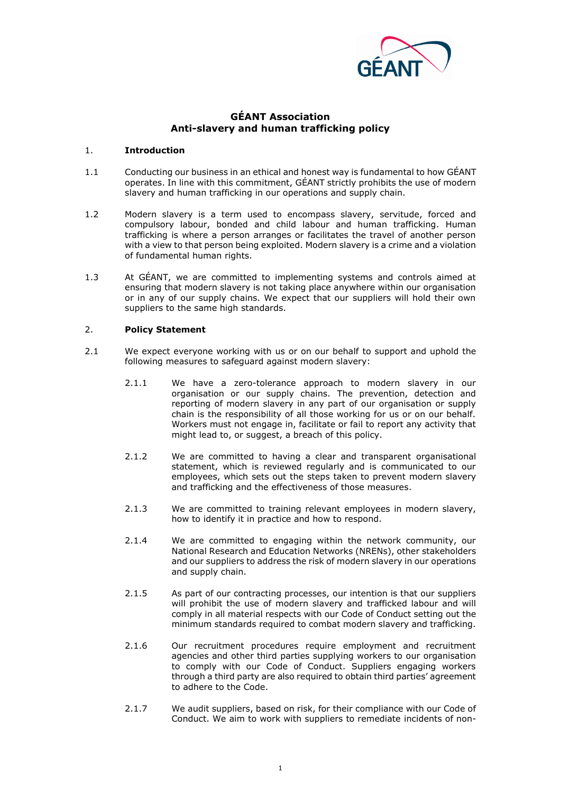

# **GÉANT Association Anti-slavery and human trafficking policy**

### 1. **Introduction**

- 1.1 Conducting our business in an ethical and honest way is fundamental to how GÉANT operates. In line with this commitment, GÉANT strictly prohibits the use of modern slavery and human trafficking in our operations and supply chain.
- 1.2 Modern slavery is a term used to encompass slavery, servitude, forced and compulsory labour, bonded and child labour and human trafficking. Human trafficking is where a person arranges or facilitates the travel of another person with a view to that person being exploited. Modern slavery is a crime and a violation of fundamental human rights.
- 1.3 At GÉANT, we are committed to implementing systems and controls aimed at ensuring that modern slavery is not taking place anywhere within our organisation or in any of our supply chains. We expect that our suppliers will hold their own suppliers to the same high standards.

#### 2. **Policy Statement**

- 2.1 We expect everyone working with us or on our behalf to support and uphold the following measures to safeguard against modern slavery:
	- 2.1.1 We have a zero-tolerance approach to modern slavery in our organisation or our supply chains. The prevention, detection and reporting of modern slavery in any part of our organisation or supply chain is the responsibility of all those working for us or on our behalf. Workers must not engage in, facilitate or fail to report any activity that might lead to, or suggest, a breach of this policy.
	- 2.1.2 We are committed to having a clear and transparent organisational statement, which is reviewed regularly and is communicated to our employees, which sets out the steps taken to prevent modern slavery and trafficking and the effectiveness of those measures.
	- 2.1.3 We are committed to training relevant employees in modern slavery, how to identify it in practice and how to respond.
	- 2.1.4 We are committed to engaging within the network community, our National Research and Education Networks (NRENs), other stakeholders and our suppliers to address the risk of modern slavery in our operations and supply chain.
	- 2.1.5 As part of our contracting processes, our intention is that our suppliers will prohibit the use of modern slavery and trafficked labour and will comply in all material respects with our Code of Conduct setting out the minimum standards required to combat modern slavery and trafficking.
	- 2.1.6 Our recruitment procedures require employment and recruitment agencies and other third parties supplying workers to our organisation to comply with our Code of Conduct. Suppliers engaging workers through a third party are also required to obtain third parties' agreement to adhere to the Code.
	- 2.1.7 We audit suppliers, based on risk, for their compliance with our Code of Conduct. We aim to work with suppliers to remediate incidents of non-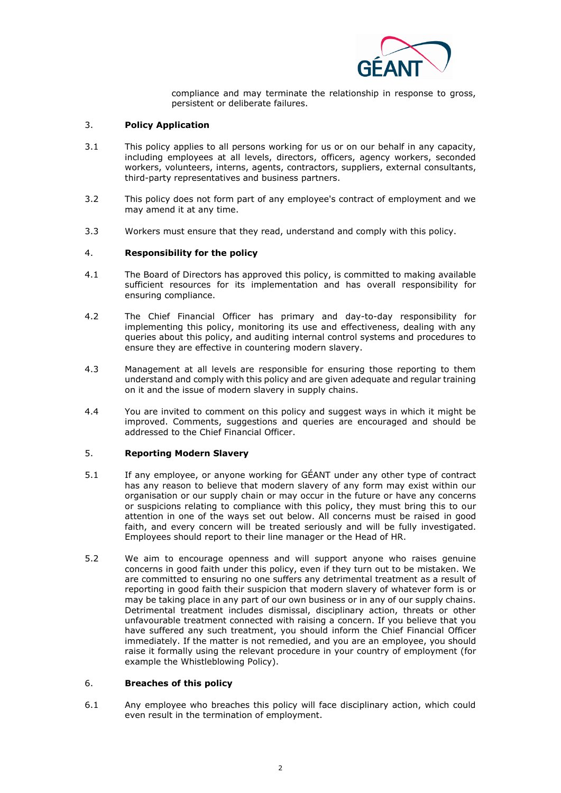

compliance and may terminate the relationship in response to gross, persistent or deliberate failures.

### 3. **Policy Application**

- 3.1 This policy applies to all persons working for us or on our behalf in any capacity, including employees at all levels, directors, officers, agency workers, seconded workers, volunteers, interns, agents, contractors, suppliers, external consultants, third-party representatives and business partners.
- 3.2 This policy does not form part of any employee's contract of employment and we may amend it at any time.
- 3.3 Workers must ensure that they read, understand and comply with this policy.

#### 4. **Responsibility for the policy**

- 4.1 The Board of Directors has approved this policy, is committed to making available sufficient resources for its implementation and has overall responsibility for ensuring compliance.
- 4.2 The Chief Financial Officer has primary and day-to-day responsibility for implementing this policy, monitoring its use and effectiveness, dealing with any queries about this policy, and auditing internal control systems and procedures to ensure they are effective in countering modern slavery.
- 4.3 Management at all levels are responsible for ensuring those reporting to them understand and comply with this policy and are given adequate and regular training on it and the issue of modern slavery in supply chains.
- 4.4 You are invited to comment on this policy and suggest ways in which it might be improved. Comments, suggestions and queries are encouraged and should be addressed to the Chief Financial Officer.

## 5. **Reporting Modern Slavery**

- 5.1 If any employee, or anyone working for GÉANT under any other type of contract has any reason to believe that modern slavery of any form may exist within our organisation or our supply chain or may occur in the future or have any concerns or suspicions relating to compliance with this policy, they must bring this to our attention in one of the ways set out below. All concerns must be raised in good faith, and every concern will be treated seriously and will be fully investigated. Employees should report to their line manager or the Head of HR.
- 5.2 We aim to encourage openness and will support anyone who raises genuine concerns in good faith under this policy, even if they turn out to be mistaken. We are committed to ensuring no one suffers any detrimental treatment as a result of reporting in good faith their suspicion that modern slavery of whatever form is or may be taking place in any part of our own business or in any of our supply chains. Detrimental treatment includes dismissal, disciplinary action, threats or other unfavourable treatment connected with raising a concern. If you believe that you have suffered any such treatment, you should inform the Chief Financial Officer immediately. If the matter is not remedied, and you are an employee, you should raise it formally using the relevant procedure in your country of employment (for example the Whistleblowing Policy).

## 6. **Breaches of this policy**

6.1 Any employee who breaches this policy will face disciplinary action, which could even result in the termination of employment.